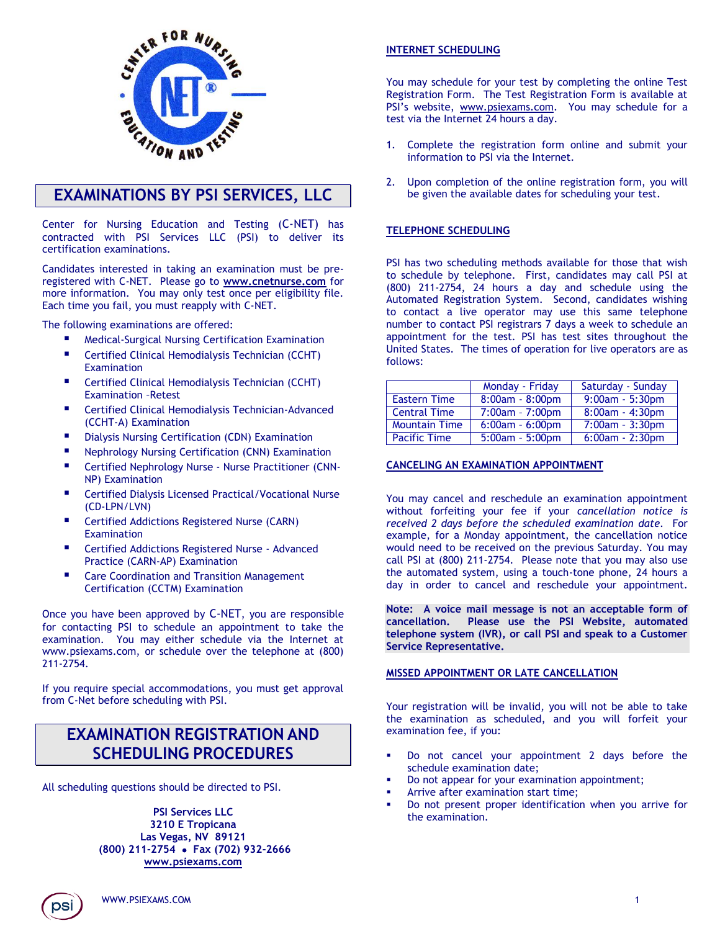

# **EXAMINATIONS BY PSI SERVICES, LLC**

Center for Nursing Education and Testing (C-NET) has contracted with PSI Services LLC (PSI) to deliver its certification examinations.

Candidates interested in taking an examination must be preregistered with C-NET. Please go to **[www.cnetnurse.com](http://www.cnetnurse.com/)** for more information. You may only test once per eligibility file. Each time you fail, you must reapply with C-NET.

The following examinations are offered:

- Medical-Surgical Nursing Certification Examination
- Certified Clinical Hemodialysis Technician (CCHT) Examination
- Certified Clinical Hemodialysis Technician (CCHT) Examination –Retest
- Certified Clinical Hemodialysis Technician-Advanced (CCHT-A) Examination
- Dialysis Nursing Certification (CDN) Examination
- Nephrology Nursing Certification (CNN) Examination
- Certified Nephrology Nurse Nurse Practitioner (CNN-NP) Examination
- Certified Dialysis Licensed Practical/Vocational Nurse (CD-LPN/LVN)
- **E** Certified Addictions Registered Nurse (CARN) **[Examination](https://candidate.psiexams.com/catalog/fti_agency_license_details.jsp?fromwhere=findtest&testid=3874)**
- **E** [Certified Addictions Registered Nurse -](https://candidate.psiexams.com/catalog/fti_agency_license_details.jsp?fromwhere=findtest&testid=3875) Advanced [Practice \(CARN-AP\) Examination](https://candidate.psiexams.com/catalog/fti_agency_license_details.jsp?fromwhere=findtest&testid=3875)
- [Care Coordination and Transition Management](https://candidate.psiexams.com/catalog/fti_agency_license_details.jsp?fromwhere=findtest&testid=4294)  Certification [\(CCTM\) Examination](https://candidate.psiexams.com/catalog/fti_agency_license_details.jsp?fromwhere=findtest&testid=4294)

Once you have been approved by C-NET, you are responsible for contacting PSI to schedule an appointment to take the examination. You may either schedule via the Internet at www.psiexams.com, or schedule over the telephone at (800) 211-2754.

If you require special accommodations, you must get approval from C-Net before scheduling with PSI.

# **EXAMINATION REGISTRATION AND SCHEDULING PROCEDURES**

All scheduling questions should be directed to PSI.

**PSI Services LLC 3210 E Tropicana Las Vegas, NV 89121 (800) 211-2754 Fax (702) 932-2666 [www.psiexams.com](http://www.psiexams.com/)**

## **INTERNET SCHEDULING**

You may schedule for your test by completing the online Test Registration Form. The Test Registration Form is available at PSI's website, [www.psiexams.com.](http://www.psiexams.com/) You may schedule for a test via the Internet 24 hours a day.

- 1. Complete the registration form online and submit your information to PSI via the Internet.
- 2. Upon completion of the online registration form, you will be given the available dates for scheduling your test.

### **TELEPHONE SCHEDULING**

PSI has two scheduling methods available for those that wish to schedule by telephone. First, candidates may call PSI at (800) 211-2754, 24 hours a day and schedule using the Automated Registration System. Second, candidates wishing to contact a live operator may use this same telephone number to contact PSI registrars 7 days a week to schedule an appointment for the test. PSI has test sites throughout the United States. The times of operation for live operators are as follows:

|                      | Monday - Friday   | Saturday - Sunday |
|----------------------|-------------------|-------------------|
| <b>Eastern Time</b>  | 8:00am - 8:00pm   | $9:00am - 5:30pm$ |
| Central Time         | 7:00am - 7:00pm   | $8:00am - 4:30pm$ |
| <b>Mountain Time</b> | $6:00am - 6:00pm$ | $7:00am - 3:30pm$ |
| <b>Pacific Time</b>  | $5:00am - 5:00pm$ | $6:00am - 2:30pm$ |

## **CANCELING AN EXAMINATION APPOINTMENT**

You may cancel and reschedule an examination appointment without forfeiting your fee if your *cancellation notice is received 2 days before the scheduled examination date*. For example, for a Monday appointment, the cancellation notice would need to be received on the previous Saturday. You may call PSI at (800) 211-2754. Please note that you may also use the automated system, using a touch-tone phone, 24 hours a day in order to cancel and reschedule your appointment.

**Note: A voice mail message is not an acceptable form of cancellation. Please use the PSI Website, automated telephone system (IVR), or call PSI and speak to a Customer Service Representative.** 

### **MISSED APPOINTMENT OR LATE CANCELLATION**

Your registration will be invalid, you will not be able to take the examination as scheduled, and you will forfeit your examination fee, if you:

- Do not cancel your appointment 2 days before the schedule examination date;
- Do not appear for your examination appointment;
- Arrive after examination start time;
- Do not present proper identification when you arrive for the examination.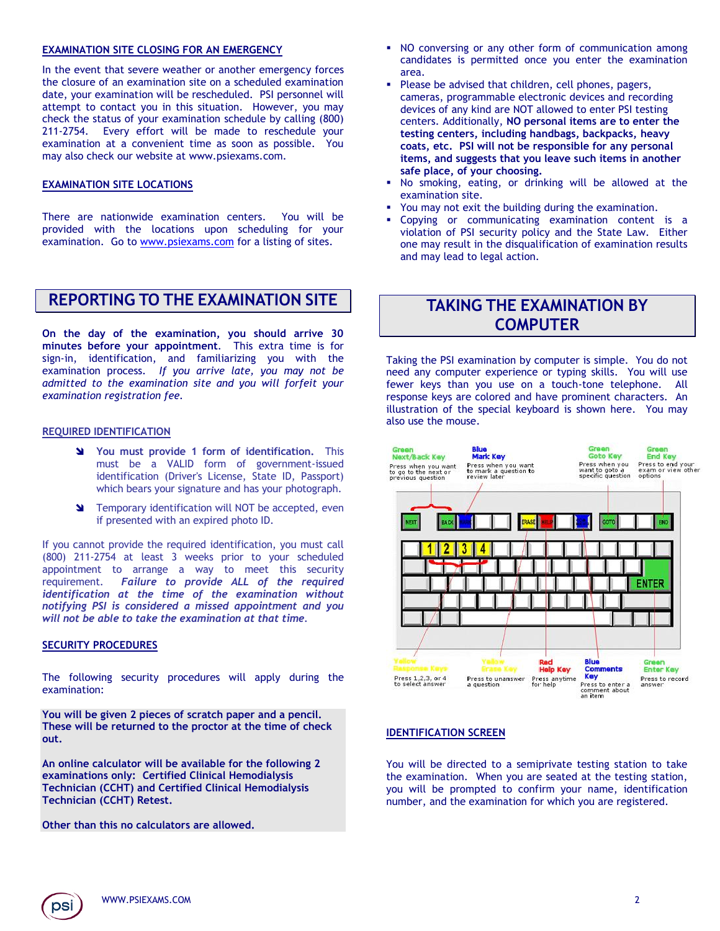### **EXAMINATION SITE CLOSING FOR AN EMERGENCY**

In the event that severe weather or another emergency forces the closure of an examination site on a scheduled examination date, your examination will be rescheduled. PSI personnel will attempt to contact you in this situation. However, you may check the status of your examination schedule by calling (800) 211-2754. Every effort will be made to reschedule your examination at a convenient time as soon as possible. You may also check our website at www.psiexams.com.

### **EXAMINATION SITE LOCATIONS**

There are nationwide examination centers. You will be provided with the locations upon scheduling for your examination. Go to [www.psiexams.com](http://www.psiexams.com/) for a listing of sites.

## **REPORTING TO THE EXAMINATION SITE**

**On the day of the examination, you should arrive 30 minutes before your appointment**. This extra time is for sign-in, identification, and familiarizing you with the examination process. *If you arrive late, you may not be admitted to the examination site and you will forfeit your examination registration fee.*

### **REQUIRED IDENTIFICATION**

- **You must provide 1 form of identification.** This must be a VALID form of government-issued identification (Driver's License, State ID, Passport) which bears your signature and has your photograph.
- **N** Temporary identification will NOT be accepted, even if presented with an expired photo ID.

If you cannot provide the required identification, you must call (800) 211-2754 at least 3 weeks prior to your scheduled appointment to arrange a way to meet this security requirement. *Failure to provide ALL of the required identification at the time of the examination without notifying PSI is considered a missed appointment and you will not be able to take the examination at that time.*

### **SECURITY PROCEDURES**

The following security procedures will apply during the examination:

**You will be given 2 pieces of scratch paper and a pencil. These will be returned to the proctor at the time of check out.** 

**An online calculator will be available for the following 2 examinations only: Certified Clinical Hemodialysis Technician (CCHT) and Certified Clinical Hemodialysis Technician (CCHT) Retest.**

**Other than this no calculators are allowed.**

- NO conversing or any other form of communication among candidates is permitted once you enter the examination area.
- Please be advised that children, cell phones, pagers, cameras, programmable electronic devices and recording devices of any kind are NOT allowed to enter PSI testing centers. Additionally, **NO personal items are to enter the testing centers, including handbags, backpacks, heavy coats, etc. PSI will not be responsible for any personal items, and suggests that you leave such items in another safe place, of your choosing.**
- No smoking, eating, or drinking will be allowed at the examination site.
- You may not exit the building during the examination.
- Copying or communicating examination content is a violation of PSI security policy and the State Law. Either one may result in the disqualification of examination results and may lead to legal action.

## **TAKING THE EXAMINATION BY COMPUTER**

Taking the PSI examination by computer is simple. You do not need any computer experience or typing skills. You will use fewer keys than you use on a touch-tone telephone. All response keys are colored and have prominent characters. An illustration of the special keyboard is shown here. You may also use the mouse.



### **IDENTIFICATION SCREEN**

You will be directed to a semiprivate testing station to take the examination. When you are seated at the testing station, you will be prompted to confirm your name, identification number, and the examination for which you are registered.

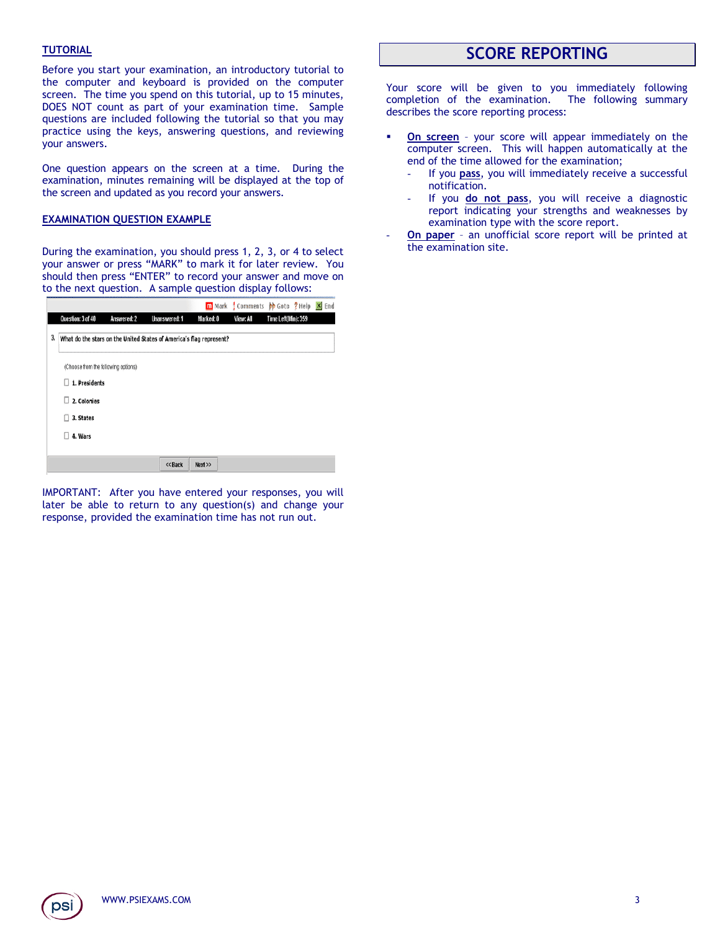### **TUTORIAL**

Before you start your examination, an introductory tutorial to the computer and keyboard is provided on the computer screen. The time you spend on this tutorial, up to 15 minutes, DOES NOT count as part of your examination time. Sample questions are included following the tutorial so that you may practice using the keys, answering questions, and reviewing your answers.

One question appears on the screen at a time. During the examination, minutes remaining will be displayed at the top of the screen and updated as you record your answers.

### **EXAMINATION QUESTION EXAMPLE**

During the examination, you should press 1, 2, 3, or 4 to select your answer or press "MARK" to mark it for later review. You should then press "ENTER" to record your answer and move on to the next question. A sample question display follows:

|    |                                     |             |                                                                     |           |           | m Mark Comments M Goto ? Help | $X$ End |
|----|-------------------------------------|-------------|---------------------------------------------------------------------|-----------|-----------|-------------------------------|---------|
|    | Question: 3 of 40                   | Answered: 2 | Unanswered: 1                                                       | Marked: 0 | View: All | Time Left(Min): 359           |         |
| 3, |                                     |             | What do the stars on the United States of America's flag represent? |           |           |                               |         |
|    | (Choose from the following options) |             |                                                                     |           |           |                               |         |
|    | 1. Presidents                       |             |                                                                     |           |           |                               |         |
|    | 2. Colonies                         |             |                                                                     |           |           |                               |         |
|    | 3. States                           |             |                                                                     |           |           |                               |         |
|    | 4. Wars                             |             |                                                                     |           |           |                               |         |
|    |                                     |             |                                                                     |           |           |                               |         |
|    |                                     |             | << Back                                                             | Next      |           |                               |         |

IMPORTANT: After you have entered your responses, you will later be able to return to any question(s) and change your response, provided the examination time has not run out.

# **SCORE REPORTING**

Your score will be given to you immediately following completion of the examination. The following summary describes the score reporting process:

- **On screen** your score will appear immediately on the computer screen. This will happen automatically at the end of the time allowed for the examination;
	- If you pass, you will immediately receive a successful notification.
	- If you **do not pass**, you will receive a diagnostic report indicating your strengths and weaknesses by examination type with the score report.
- **On paper** an unofficial score report will be printed at the examination site.